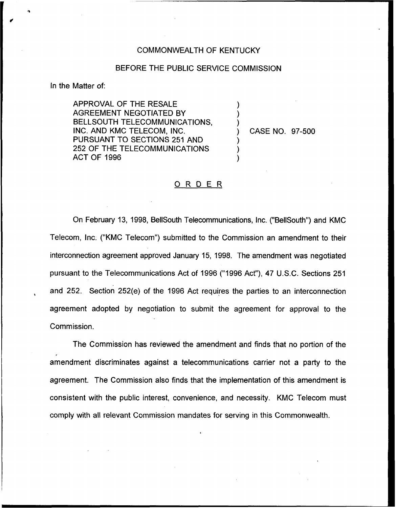## COMMONWEALTH OF KENTUCKY

## BEFORE THE PUBLIC SERVICE COMMISSION

) ) )

) ) )

In the Matter of:

APPROVAL OF THE RESALE AGREEMENT NEGOTIATED BY BELLSOUTH TELECOMMUNICATIONS, INC. AND KMC TELECOM, INC. PURSUANT TO SECTIONS 251 AND 252 OF THE TELECOMMUNICATIONS ACT OF 1996

) CASE NO. 97-500

## ORDER

On February 13, 1998, BellSouth Telecommunications, Inc. ("BellSouth") and KMC Telecom, Inc. ("KMC Telecom") submitted to the Commission an amendment to their interconnection agreement approved January 15, 1998. The amendment was negotiated pursuant to the Telecommunications Act of 1996 ("1996 Act"), 47 U.S.C. Sections 251 and 252. Section 252(e) of the 1996 Act requires the parties to an interconnection agreement adopted by negotiation to submit the agreement for approval to the Commission.

The Commission has reviewed the amendment and finds that no portion of the amendment discriminates against a telecommunications carrier not a party to the agreement. The Commission also finds that the implementation of this amendment is consistent with the public interest, convenience, and necessity. KMC Telecom must comply with all relevant Commission mandates for serving in this Commonwealth.